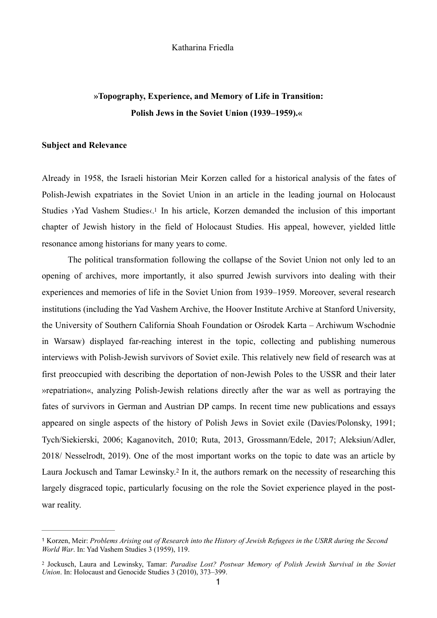#### Katharina Friedla

# **»Topography, Experience, and Memory of Life in Transition: Polish Jews in the Soviet Union (1939–1959).«**

### **Subject and Relevance**

<span id="page-0-2"></span>Already in 1958, the Israeli historian Meir Korzen called for a historical analysis of the fates of Polish-Jewish expatriates in the Soviet Union in an article in the leading journal on Holocaust Studies ›Yad Vashem Studies‹[.1](#page-0-0) In his article, Korzen demanded the inclusion of this important chapter of Jewish history in the field of Holocaust Studies. His appeal, however, yielded little resonance among historians for many years to come.

 The political transformation following the collapse of the Soviet Union not only led to an opening of archives, more importantly, it also spurred Jewish survivors into dealing with their experiences and memories of life in the Soviet Union from 1939–1959. Moreover, several research institutions (including the Yad Vashem Archive, the Hoover Institute Archive at Stanford University, the University of Southern California Shoah Foundation or Ośrodek Karta – Archiwum Wschodnie in Warsaw) displayed far-reaching interest in the topic, collecting and publishing numerous interviews with Polish-Jewish survivors of Soviet exile. This relatively new field of research was at first preoccupied with describing the deportation of non-Jewish Poles to the USSR and their later »repatriation«, analyzing Polish-Jewish relations directly after the war as well as portraying the fates of survivors in German and Austrian DP camps. In recent time new publications and essays appeared on single aspects of the history of Polish Jews in Soviet exile (Davies/Polonsky, 1991; Tych/Siekierski, 2006; Kaganovitch, 2010; Ruta, 2013, Grossmann/Edele, 2017; Aleksiun/Adler, 2018/ Nesselrodt, 2019). One of the most important works on the topic to date was an article by LauraJockusch and Tamar Lewinsky.<sup>[2](#page-0-1)</sup> In it, the authors remark on the necessity of researching this largely disgraced topic, particularly focusing on the role the Soviet experience played in the postwar reality.

<span id="page-0-3"></span><span id="page-0-0"></span>Korzen, Meir: *Problems Arising out of Research into the History of Jewish Refugees in the USRR during the Second* [1](#page-0-2) *World War*. In: Yad Vashem Studies 3 (1959), 119.

<span id="page-0-1"></span>Jockusch, Laura and Lewinsky, Tamar: *Paradise Lost? Postwar Memory of Polish Jewish Survival in the Soviet* [2](#page-0-3) *Union*. In: Holocaust and Genocide Studies 3 (2010), 373–399.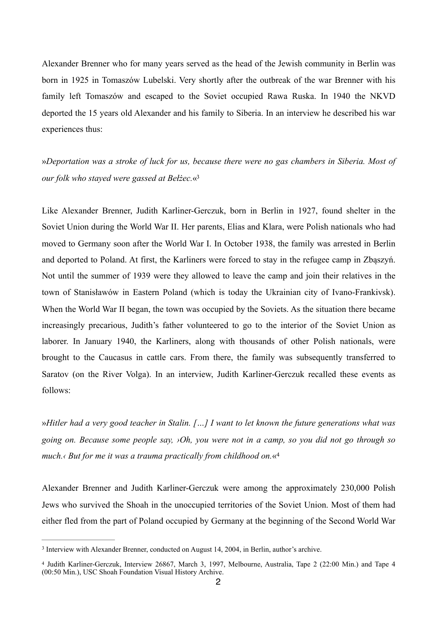Alexander Brenner who for many years served as the head of the Jewish community in Berlin was born in 1925 in Tomaszów Lubelski. Very shortly after the outbreak of the war Brenner with his family left Tomaszów and escaped to the Soviet occupied Rawa Ruska. In 1940 the NKVD deported the 15 years old Alexander and his family to Siberia. In an interview he described his war experiences thus:

<span id="page-1-2"></span>»*Deportation was a stroke of luck for us, because there were no gas chambers in Siberia. Most of our folk who stayed were gassed at Bełżec.*[«3](#page-1-0)

Like Alexander Brenner, Judith Karliner-Gerczuk, born in Berlin in 1927, found shelter in the Soviet Union during the World War II. Her parents, Elias and Klara, were Polish nationals who had moved to Germany soon after the World War I. In October 1938, the family was arrested in Berlin and deported to Poland. At first, the Karliners were forced to stay in the refugee camp in Zbąszyń. Not until the summer of 1939 were they allowed to leave the camp and join their relatives in the town of Stanisławów in Eastern Poland (which is today the Ukrainian city of Ivano-Frankivsk). When the World War II began, the town was occupied by the Soviets. As the situation there became increasingly precarious, Judith's father volunteered to go to the interior of the Soviet Union as laborer. In January 1940, the Karliners, along with thousands of other Polish nationals, were brought to the Caucasus in cattle cars. From there, the family was subsequently transferred to Saratov (on the River Volga). In an interview, Judith Karliner-Gerczuk recalled these events as follows:

<span id="page-1-3"></span>»*Hitler had a very good teacher in Stalin. […] I want to let known the future generations what was going on. Because some people say, ›Oh, you were not in a camp, so you did not go through so much.‹ But for me it was a trauma practically from childhood on.*«[4](#page-1-1)

Alexander Brenner and Judith Karliner-Gerczuk were among the approximately 230,000 Polish Jews who survived the Shoah in the unoccupied territories of the Soviet Union. Most of them had either fled from the part of Poland occupied by Germany at the beginning of the Second World War

<span id="page-1-0"></span><sup>&</sup>lt;sup>[3](#page-1-2)</sup> Interview with Alexander Brenner, conducted on August 14, 2004, in Berlin, author's archive.

<span id="page-1-1"></span><sup>&</sup>lt;sup>[4](#page-1-3)</sup> Judith Karliner-Gerczuk, Interview 26867, March 3, 1997, Melbourne, Australia, Tape 2 (22:00 Min.) and Tape 4 (00:50 Min.), USC Shoah Foundation Visual History Archive.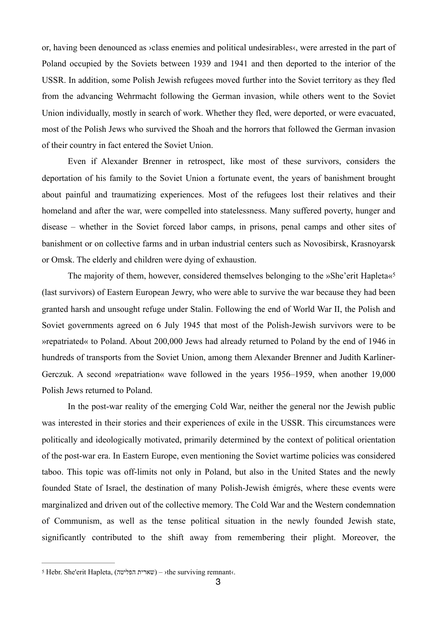or, having been denounced as ›class enemies and political undesirables‹, were arrested in the part of Poland occupied by the Soviets between 1939 and 1941 and then deported to the interior of the USSR. In addition, some Polish Jewish refugees moved further into the Soviet territory as they fled from the advancing Wehrmacht following the German invasion, while others went to the Soviet Union individually, mostly in search of work. Whether they fled, were deported, or were evacuated, most of the Polish Jews who survived the Shoah and the horrors that followed the German invasion of their country in fact entered the Soviet Union.

 Even if Alexander Brenner in retrospect, like most of these survivors, considers the deportation of his family to the Soviet Union a fortunate event, the years of banishment brought about painful and traumatizing experiences. Most of the refugees lost their relatives and their homeland and after the war, were compelled into statelessness. Many suffered poverty, hunger and disease – whether in the Soviet forced labor camps, in prisons, penal camps and other sites of banishment or on collective farms and in urban industrial centers such as Novosibirsk, Krasnoyarsk or Omsk. The elderly and children were dying of exhaustion.

<span id="page-2-1"></span>The majority of them, however, considered themselves belonging to the »She'erit Hapleta«<sup>[5](#page-2-0)</sup> (last survivors) of Eastern European Jewry, who were able to survive the war because they had been granted harsh and unsought refuge under Stalin. Following the end of World War II, the Polish and Soviet governments agreed on 6 July 1945 that most of the Polish-Jewish survivors were to be »repatriated« to Poland. About 200,000 Jews had already returned to Poland by the end of 1946 in hundreds of transports from the Soviet Union, among them Alexander Brenner and Judith Karliner-Gerczuk. A second »repatriation« wave followed in the years 1956–1959, when another 19,000 Polish Jews returned to Poland.

 In the post-war reality of the emerging Cold War, neither the general nor the Jewish public was interested in their stories and their experiences of exile in the USSR. This circumstances were politically and ideologically motivated, primarily determined by the context of political orientation of the post-war era. In Eastern Europe, even mentioning the Soviet wartime policies was considered taboo. This topic was off-limits not only in Poland, but also in the United States and the newly founded State of Israel, the destination of many Polish-Jewish émigrés, where these events were marginalized and driven out of the collective memory. The Cold War and the Western condemnation of Communism, as well as the tense political situation in the newly founded Jewish state, significantly contributed to the shift away from remembering their plight. Moreover, the

<span id="page-2-0"></span> $\pm$ Hebr. She'erit Hapleta, (שארית הפליטה) – >the surviving remnant<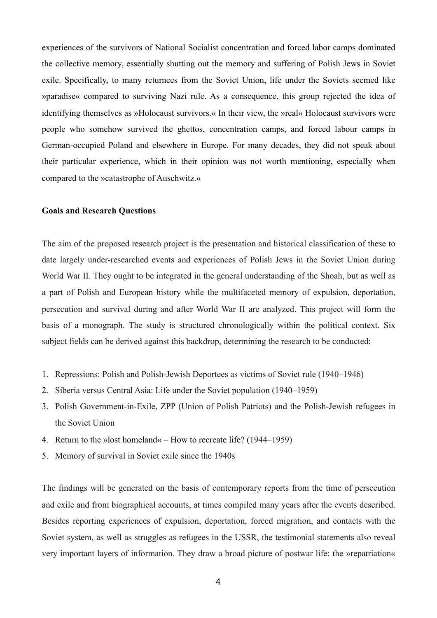experiences of the survivors of National Socialist concentration and forced labor camps dominated the collective memory, essentially shutting out the memory and suffering of Polish Jews in Soviet exile. Specifically, to many returnees from the Soviet Union, life under the Soviets seemed like »paradise« compared to surviving Nazi rule. As a consequence, this group rejected the idea of identifying themselves as »Holocaust survivors.« In their view, the »real« Holocaust survivors were people who somehow survived the ghettos, concentration camps, and forced labour camps in German-occupied Poland and elsewhere in Europe. For many decades, they did not speak about their particular experience, which in their opinion was not worth mentioning, especially when compared to the »catastrophe of Auschwitz.«

### **Goals and Research Questions**

The aim of the proposed research project is the presentation and historical classification of these to date largely under-researched events and experiences of Polish Jews in the Soviet Union during World War II. They ought to be integrated in the general understanding of the Shoah, but as well as a part of Polish and European history while the multifaceted memory of expulsion, deportation, persecution and survival during and after World War II are analyzed. This project will form the basis of a monograph. The study is structured chronologically within the political context. Six subject fields can be derived against this backdrop, determining the research to be conducted:

- 1. Repressions: Polish and Polish-Jewish Deportees as victims of Soviet rule (1940–1946)
- 2. Siberia versus Central Asia: Life under the Soviet population (1940–1959)
- 3. Polish Government-in-Exile, ZPP (Union of Polish Patriots) and the Polish-Jewish refugees in the Soviet Union
- 4. Return to the »lost homeland« How to recreate life? (1944–1959)
- 5. Memory of survival in Soviet exile since the 1940s

The findings will be generated on the basis of contemporary reports from the time of persecution and exile and from biographical accounts, at times compiled many years after the events described. Besides reporting experiences of expulsion, deportation, forced migration, and contacts with the Soviet system, as well as struggles as refugees in the USSR, the testimonial statements also reveal very important layers of information. They draw a broad picture of postwar life: the »repatriation«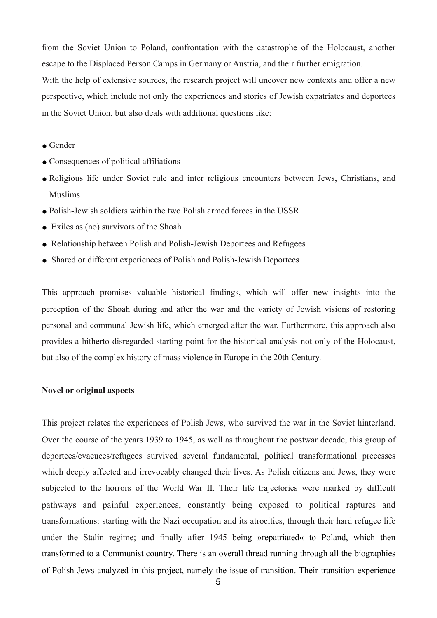from the Soviet Union to Poland, confrontation with the catastrophe of the Holocaust, another escape to the Displaced Person Camps in Germany or Austria, and their further emigration.

With the help of extensive sources, the research project will uncover new contexts and offer a new perspective, which include not only the experiences and stories of Jewish expatriates and deportees in the Soviet Union, but also deals with additional questions like:

- Gender
- Consequences of political affiliations
- Religious life under Soviet rule and inter religious encounters between Jews, Christians, and Muslims
- Polish-Jewish soldiers within the two Polish armed forces in the USSR
- Exiles as (no) survivors of the Shoah
- Relationship between Polish and Polish-Jewish Deportees and Refugees
- Shared or different experiences of Polish and Polish-Jewish Deportees

This approach promises valuable historical findings, which will offer new insights into the perception of the Shoah during and after the war and the variety of Jewish visions of restoring personal and communal Jewish life, which emerged after the war. Furthermore, this approach also provides a hitherto disregarded starting point for the historical analysis not only of the Holocaust, but also of the complex history of mass violence in Europe in the 20th Century.

## **Novel or original aspects**

This project relates the experiences of Polish Jews, who survived the war in the Soviet hinterland. Over the course of the years 1939 to 1945, as well as throughout the postwar decade, this group of deportees/evacuees/refugees survived several fundamental, political transformational precesses which deeply affected and irrevocably changed their lives. As Polish citizens and Jews, they were subjected to the horrors of the World War II. Their life trajectories were marked by difficult pathways and painful experiences, constantly being exposed to political raptures and transformations: starting with the Nazi occupation and its atrocities, through their hard refugee life under the Stalin regime; and finally after 1945 being »repatriated« to Poland, which then transformed to a Communist country. There is an overall thread running through all the biographies of Polish Jews analyzed in this project, namely the issue of transition. Their transition experience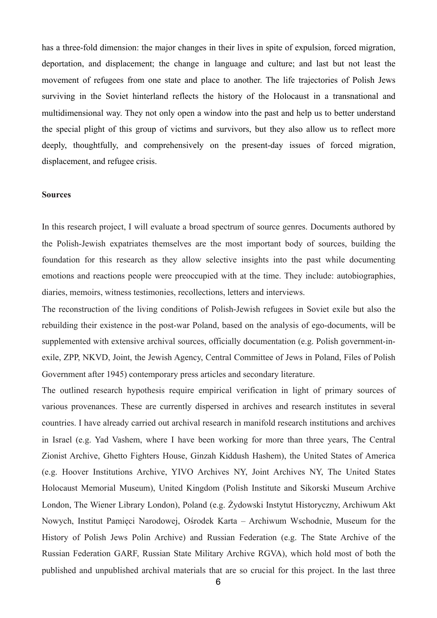has a three-fold dimension: the major changes in their lives in spite of expulsion, forced migration, deportation, and displacement; the change in language and culture; and last but not least the movement of refugees from one state and place to another. The life trajectories of Polish Jews surviving in the Soviet hinterland reflects the history of the Holocaust in a transnational and multidimensional way. They not only open a window into the past and help us to better understand the special plight of this group of victims and survivors, but they also allow us to reflect more deeply, thoughtfully, and comprehensively on the present-day issues of forced migration, displacement, and refugee crisis.

### **Sources**

In this research project, I will evaluate a broad spectrum of source genres. Documents authored by the Polish-Jewish expatriates themselves are the most important body of sources, building the foundation for this research as they allow selective insights into the past while documenting emotions and reactions people were preoccupied with at the time. They include: autobiographies, diaries, memoirs, witness testimonies, recollections, letters and interviews.

The reconstruction of the living conditions of Polish-Jewish refugees in Soviet exile but also the rebuilding their existence in the post-war Poland, based on the analysis of ego-documents, will be supplemented with extensive archival sources, officially documentation (e.g. Polish government-inexile, ZPP, NKVD, Joint, the Jewish Agency, Central Committee of Jews in Poland, Files of Polish Government after 1945) contemporary press articles and secondary literature.

The outlined research hypothesis require empirical verification in light of primary sources of various provenances. These are currently dispersed in archives and research institutes in several countries. I have already carried out archival research in manifold research institutions and archives in Israel (e.g. Yad Vashem, where I have been working for more than three years, The Central Zionist Archive, Ghetto Fighters House, Ginzah Kiddush Hashem), the United States of America (e.g. Hoover Institutions Archive, YIVO Archives NY, Joint Archives NY, The United States Holocaust Memorial Museum), United Kingdom (Polish Institute and Sikorski Museum Archive London, The Wiener Library London), Poland (e.g. Żydowski Instytut Historyczny, Archiwum Akt Nowych, Institut Pamięci Narodowej, Ośrodek Karta – Archiwum Wschodnie, Museum for the History of Polish Jews Polin Archive) and Russian Federation (e.g. The State Archive of the Russian Federation GARF, Russian State Military Archive RGVA), which hold most of both the published and unpublished archival materials that are so crucial for this project. In the last three